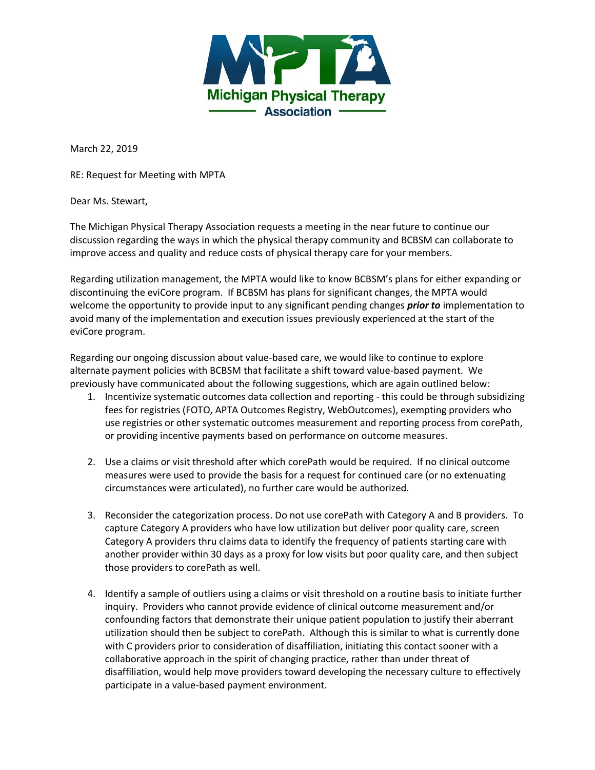

March 22, 2019

RE: Request for Meeting with MPTA

Dear Ms. Stewart,

The Michigan Physical Therapy Association requests a meeting in the near future to continue our discussion regarding the ways in which the physical therapy community and BCBSM can collaborate to improve access and quality and reduce costs of physical therapy care for your members.

Regarding utilization management, the MPTA would like to know BCBSM's plans for either expanding or discontinuing the eviCore program. If BCBSM has plans for significant changes, the MPTA would welcome the opportunity to provide input to any significant pending changes *prior to* implementation to avoid many of the implementation and execution issues previously experienced at the start of the eviCore program.

Regarding our ongoing discussion about value-based care, we would like to continue to explore alternate payment policies with BCBSM that facilitate a shift toward value-based payment. We previously have communicated about the following suggestions, which are again outlined below:

- 1. Incentivize systematic outcomes data collection and reporting this could be through subsidizing fees for registries (FOTO, APTA Outcomes Registry, WebOutcomes), exempting providers who use registries or other systematic outcomes measurement and reporting process from corePath, or providing incentive payments based on performance on outcome measures.
- 2. Use a claims or visit threshold after which corePath would be required. If no clinical outcome measures were used to provide the basis for a request for continued care (or no extenuating circumstances were articulated), no further care would be authorized.
- 3. Reconsider the categorization process. Do not use corePath with Category A and B providers. To capture Category A providers who have low utilization but deliver poor quality care, screen Category A providers thru claims data to identify the frequency of patients starting care with another provider within 30 days as a proxy for low visits but poor quality care, and then subject those providers to corePath as well.
- 4. Identify a sample of outliers using a claims or visit threshold on a routine basis to initiate further inquiry. Providers who cannot provide evidence of clinical outcome measurement and/or confounding factors that demonstrate their unique patient population to justify their aberrant utilization should then be subject to corePath. Although this is similar to what is currently done with C providers prior to consideration of disaffiliation, initiating this contact sooner with a collaborative approach in the spirit of changing practice, rather than under threat of disaffiliation, would help move providers toward developing the necessary culture to effectively participate in a value-based payment environment.